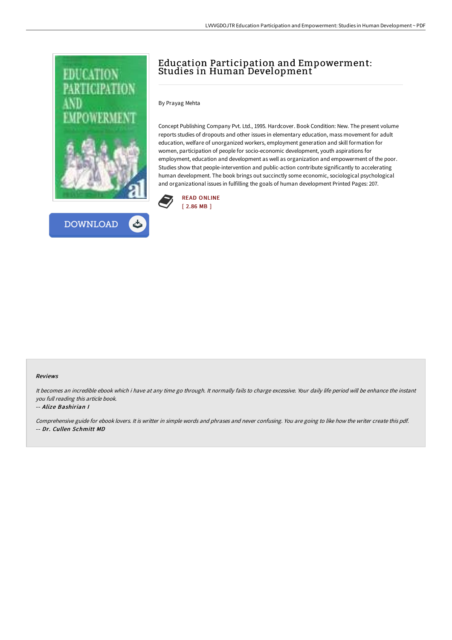



# Education Participation and Empowerment: Studies in Human Development

### By Prayag Mehta

Concept Publishing Company Pvt. Ltd., 1995. Hardcover. Book Condition: New. The present volume reports studies of dropouts and other issues in elementary education, mass movement for adult education, welfare of unorganized workers, employment generation and skill formation for women, participation of people for socio-economic development, youth aspirations for employment, education and development as well as organization and empowerment of the poor. Studies show that people-intervention and public-action contribute significantly to accelerating human development. The book brings out succinctly some economic, sociological psychological and organizational issues in fulfilling the goals of human development Printed Pages: 207.



#### Reviews

It becomes an incredible ebook which i have at any time go through. It normally fails to charge excessive. Your daily life period will be enhance the instant you full reading this article book.

### -- Alize Bashirian I

Comprehensive guide for ebook lovers. It is writter in simple words and phrases and never confusing. You are going to like how the writer create this pdf. -- Dr. Cullen Schmitt MD